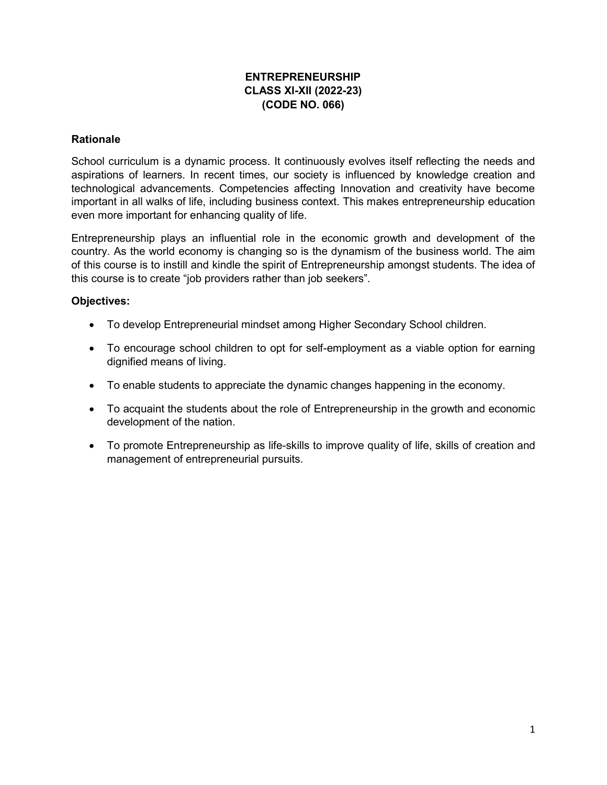#### ENTREPRENEURSHIP CLASS XI-XII (2022-23) (CODE NO. 066)

#### **Rationale**

School curriculum is a dynamic process. It continuously evolves itself reflecting the needs and aspirations of learners. In recent times, our society is influenced by knowledge creation and technological advancements. Competencies affecting Innovation and creativity have become important in all walks of life, including business context. This makes entrepreneurship education even more important for enhancing quality of life.

Entrepreneurship plays an influential role in the economic growth and development of the country. As the world economy is changing so is the dynamism of the business world. The aim of this course is to instill and kindle the spirit of Entrepreneurship amongst students. The idea of this course is to create "job providers rather than job seekers".

#### Objectives:

- To develop Entrepreneurial mindset among Higher Secondary School children.
- To encourage school children to opt for self-employment as a viable option for earning dignified means of living.
- To enable students to appreciate the dynamic changes happening in the economy.
- To acquaint the students about the role of Entrepreneurship in the growth and economic development of the nation.
- To promote Entrepreneurship as life-skills to improve quality of life, skills of creation and management of entrepreneurial pursuits.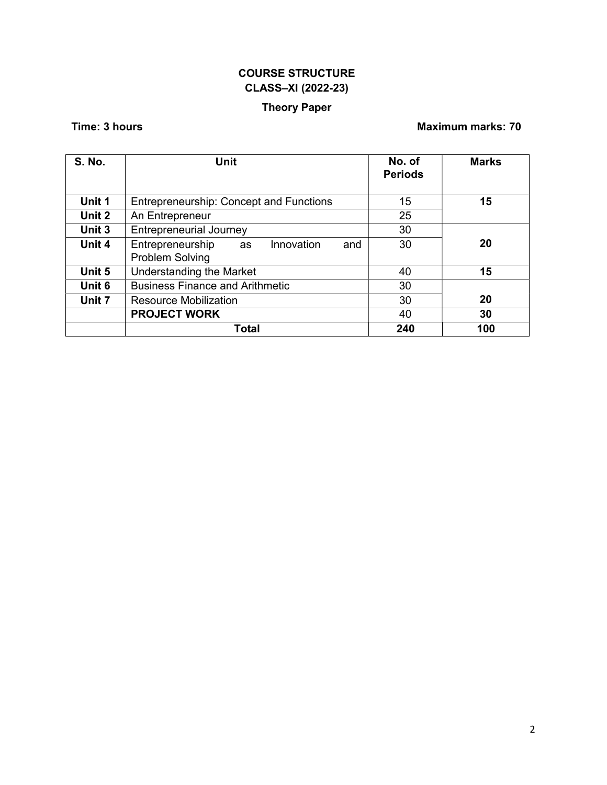# COURSE STRUCTURE CLASS–XI (2022-23)

# Theory Paper

## Time: 3 hours **Maximum marks: 70**

| <b>S. No.</b> | Unit                                                           | No. of<br><b>Periods</b> | <b>Marks</b> |
|---------------|----------------------------------------------------------------|--------------------------|--------------|
| Unit 1        | <b>Entrepreneurship: Concept and Functions</b>                 | 15                       | 15           |
| Unit 2        | An Entrepreneur                                                | 25                       |              |
| Unit 3        | <b>Entrepreneurial Journey</b>                                 | 30                       |              |
| Unit 4        | Entrepreneurship<br>Innovation<br>and<br>as<br>Problem Solving | 30                       | 20           |
| Unit 5        | Understanding the Market                                       | 40                       | 15           |
| Unit 6        | <b>Business Finance and Arithmetic</b>                         | 30                       |              |
| Unit 7        | <b>Resource Mobilization</b>                                   | 30                       | 20           |
|               | <b>PROJECT WORK</b>                                            | 40                       | 30           |
|               | Total                                                          | 240                      | 100          |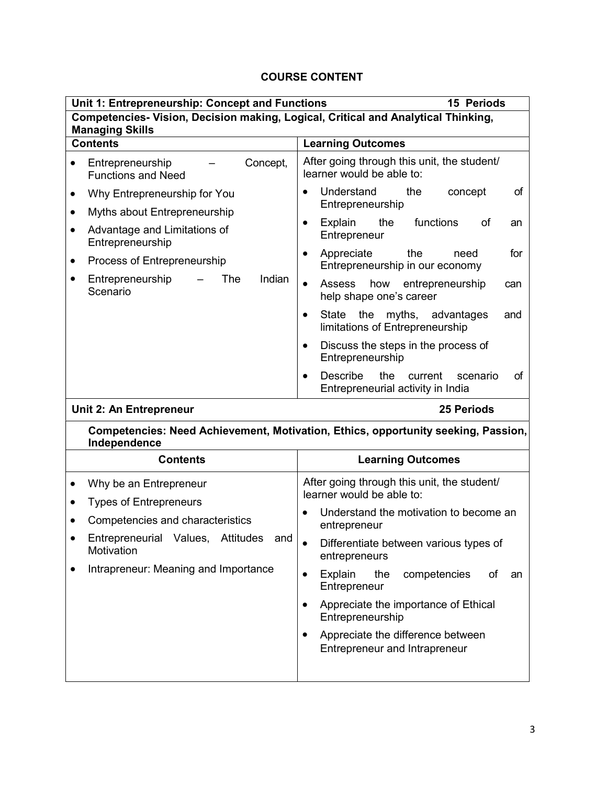| Unit 1: Entrepreneurship: Concept and Functions<br><b>15 Periods</b>                                                                                                                                                                                      |                                                                                                                                                                                                                                                                                                                                                                                                                                                                                          |  |  |  |
|-----------------------------------------------------------------------------------------------------------------------------------------------------------------------------------------------------------------------------------------------------------|------------------------------------------------------------------------------------------------------------------------------------------------------------------------------------------------------------------------------------------------------------------------------------------------------------------------------------------------------------------------------------------------------------------------------------------------------------------------------------------|--|--|--|
| Competencies- Vision, Decision making, Logical, Critical and Analytical Thinking,<br><b>Managing Skills</b>                                                                                                                                               |                                                                                                                                                                                                                                                                                                                                                                                                                                                                                          |  |  |  |
| <b>Contents</b><br><b>Learning Outcomes</b>                                                                                                                                                                                                               |                                                                                                                                                                                                                                                                                                                                                                                                                                                                                          |  |  |  |
| Concept,<br>Entrepreneurship<br><b>Functions and Need</b>                                                                                                                                                                                                 | After going through this unit, the student/<br>learner would be able to:                                                                                                                                                                                                                                                                                                                                                                                                                 |  |  |  |
| Why Entrepreneurship for You<br>$\bullet$<br>Myths about Entrepreneurship<br>$\bullet$<br>Advantage and Limitations of<br>$\bullet$<br>Entrepreneurship<br>Process of Entrepreneurship<br>٠<br>The<br>Indian<br>Entrepreneurship<br>$\bullet$<br>Scenario | of<br>Understand<br>the<br>concept<br>$\bullet$<br>Entrepreneurship<br>functions<br>Explain<br>the<br>of<br>$\bullet$<br>an<br>Entrepreneur<br>for<br>Appreciate<br>the<br>need<br>$\bullet$<br>Entrepreneurship in our economy<br><b>Assess</b><br>how entrepreneurship<br>$\bullet$<br>can<br>help shape one's career<br>State the<br>myths, advantages<br>and<br>$\bullet$<br>limitations of Entrepreneurship<br>Discuss the steps in the process of<br>$\bullet$<br>Entrepreneurship |  |  |  |
|                                                                                                                                                                                                                                                           | <b>Describe</b><br>the<br>of<br>current<br>scenario<br>$\bullet$<br>Entrepreneurial activity in India                                                                                                                                                                                                                                                                                                                                                                                    |  |  |  |
| Unit 2: An Entrepreneur                                                                                                                                                                                                                                   | <b>25 Periods</b>                                                                                                                                                                                                                                                                                                                                                                                                                                                                        |  |  |  |
| Independence                                                                                                                                                                                                                                              | Competencies: Need Achievement, Motivation, Ethics, opportunity seeking, Passion,                                                                                                                                                                                                                                                                                                                                                                                                        |  |  |  |
| <b>Contents</b>                                                                                                                                                                                                                                           | <b>Learning Outcomes</b>                                                                                                                                                                                                                                                                                                                                                                                                                                                                 |  |  |  |
| Why be an Entrepreneur<br><b>Types of Entrepreneurs</b><br>Competencies and characteristics<br>Entrepreneurial Values,<br><b>Attitudes</b><br>and<br>Motivation<br>Intrapreneur: Meaning and Importance                                                   | After going through this unit, the student/<br>learner would be able to:<br>Understand the motivation to become an<br>entrepreneur<br>Differentiate between various types of<br>entrepreneurs<br>Explain<br>the<br>competencies<br>of<br>an<br>$\bullet$<br>Entrepreneur<br>Appreciate the importance of Ethical<br>$\bullet$<br>Entrepreneurship<br>Appreciate the difference between<br>٠<br>Entrepreneur and Intrapreneur                                                             |  |  |  |
|                                                                                                                                                                                                                                                           |                                                                                                                                                                                                                                                                                                                                                                                                                                                                                          |  |  |  |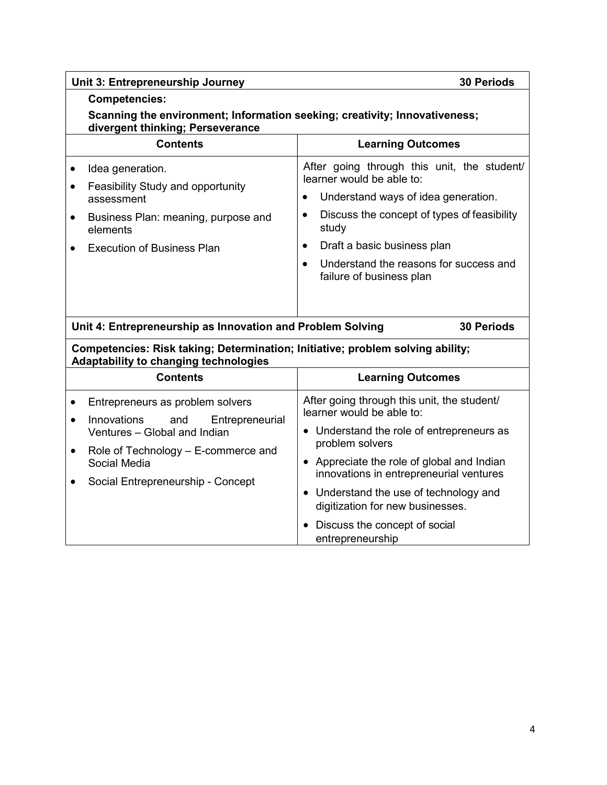| Unit 3: Entrepreneurship Journey<br><b>30 Periods</b>                                                                                  |                                                                                       |  |  |
|----------------------------------------------------------------------------------------------------------------------------------------|---------------------------------------------------------------------------------------|--|--|
| <b>Competencies:</b><br>Scanning the environment; Information seeking; creativity; Innovativeness;<br>divergent thinking; Perseverance |                                                                                       |  |  |
| <b>Contents</b>                                                                                                                        | <b>Learning Outcomes</b>                                                              |  |  |
| Idea generation.<br>$\bullet$<br>$\bullet$                                                                                             | After going through this unit, the student/<br>learner would be able to:              |  |  |
| Feasibility Study and opportunity<br>assessment                                                                                        | Understand ways of idea generation.<br>$\bullet$                                      |  |  |
| Business Plan: meaning, purpose and<br>$\bullet$<br>elements                                                                           | Discuss the concept of types of feasibility<br>$\bullet$<br>study                     |  |  |
| <b>Execution of Business Plan</b>                                                                                                      | Draft a basic business plan<br>$\bullet$                                              |  |  |
|                                                                                                                                        | Understand the reasons for success and<br>$\bullet$<br>failure of business plan       |  |  |
| Unit 4: Entrepreneurship as Innovation and Problem Solving                                                                             | <b>30 Periods</b>                                                                     |  |  |
| Competencies: Risk taking; Determination; Initiative; problem solving ability;<br>Adaptability to changing technologies                |                                                                                       |  |  |
| <b>Contents</b>                                                                                                                        | <b>Learning Outcomes</b>                                                              |  |  |
| Entrepreneurs as problem solvers<br>$\bullet$<br>Innovations<br>Entrepreneurial<br>and<br>$\bullet$                                    | After going through this unit, the student/<br>learner would be able to:              |  |  |
| Ventures - Global and Indian<br>Role of Technology - E-commerce and<br>$\bullet$                                                       | • Understand the role of entrepreneurs as<br>problem solvers                          |  |  |
| Social Media                                                                                                                           | • Appreciate the role of global and Indian<br>innovations in entrepreneurial ventures |  |  |
| Social Entrepreneurship - Concept<br>$\bullet$                                                                                         | • Understand the use of technology and<br>digitization for new businesses.            |  |  |
|                                                                                                                                        | Discuss the concept of social<br>entrepreneurship                                     |  |  |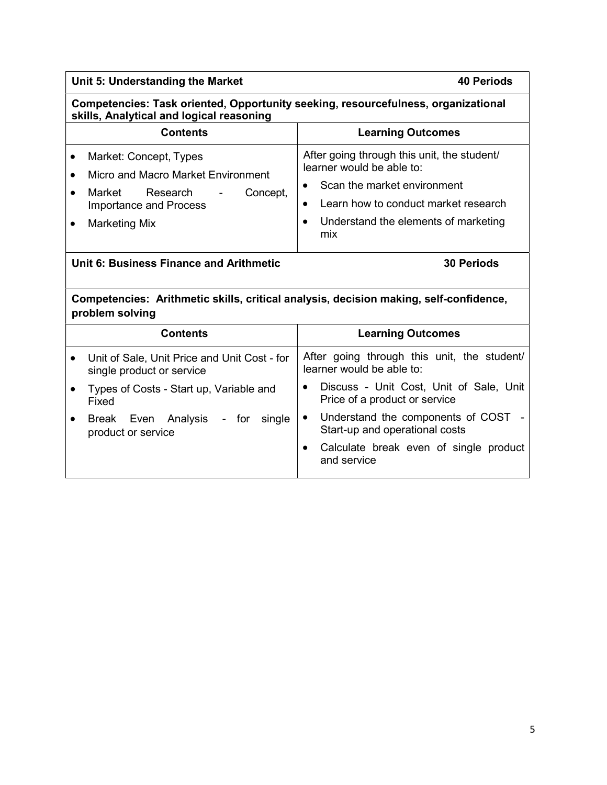| Unit 5: Understanding the Market                                                                                              | <b>40 Periods</b>                                                                     |  |
|-------------------------------------------------------------------------------------------------------------------------------|---------------------------------------------------------------------------------------|--|
| Competencies: Task oriented, Opportunity seeking, resourcefulness, organizational<br>skills, Analytical and logical reasoning |                                                                                       |  |
| <b>Contents</b>                                                                                                               | <b>Learning Outcomes</b>                                                              |  |
| Market: Concept, Types<br>٠<br>Micro and Macro Market Environment                                                             | After going through this unit, the student/<br>learner would be able to:              |  |
| Market<br>Research<br>Concept,<br>$\bullet$                                                                                   | Scan the market environment                                                           |  |
| <b>Importance and Process</b>                                                                                                 | Learn how to conduct market research<br>$\bullet$                                     |  |
| <b>Marketing Mix</b><br>$\bullet$                                                                                             | Understand the elements of marketing<br>$\bullet$<br>mix                              |  |
| Unit 6: Business Finance and Arithmetic<br><b>30 Periods</b>                                                                  |                                                                                       |  |
| Competencies: Arithmetic skills, critical analysis, decision making, self-confidence,<br>problem solving                      |                                                                                       |  |
| <b>Contents</b>                                                                                                               | <b>Learning Outcomes</b>                                                              |  |
| Unit of Sale, Unit Price and Unit Cost - for<br>$\bullet$<br>single product or service                                        | After going through this unit, the student/<br>learner would be able to:              |  |
| Types of Costs - Start up, Variable and<br>$\bullet$<br>Fixed                                                                 | Discuss - Unit Cost, Unit of Sale, Unit<br>$\bullet$<br>Price of a product or service |  |
| Break Even Analysis<br>single<br>- for<br>$\bullet$<br>product or service                                                     | Understand the components of COST<br>Start-up and operational costs                   |  |
|                                                                                                                               | Calculate break even of single product<br>$\bullet$<br>and service                    |  |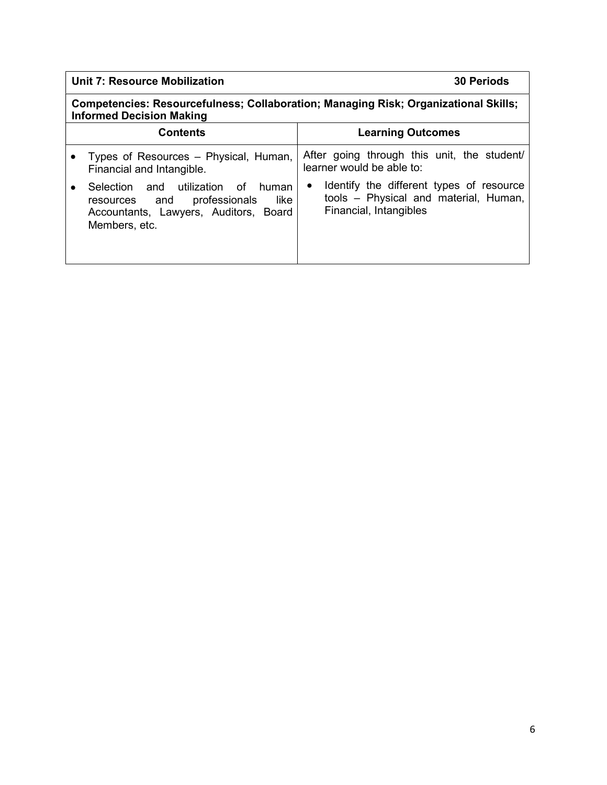#### Unit 7: Resource Mobilization 30 Periods

Competencies: Resourcefulness; Collaboration; Managing Risk; Organizational Skills; Informed Decision Making

| <b>Contents</b> |                                                                                                                                           | <b>Learning Outcomes</b>                                                                                                 |
|-----------------|-------------------------------------------------------------------------------------------------------------------------------------------|--------------------------------------------------------------------------------------------------------------------------|
|                 | Types of Resources - Physical, Human,<br>Financial and Intangible.                                                                        | After going through this unit, the student/<br>learner would be able to:                                                 |
|                 | Selection and utilization of<br>human<br>professionals<br>like<br>resources and<br>Accountants, Lawyers, Auditors, Board<br>Members, etc. | Identify the different types of resource<br>$\bullet$<br>tools - Physical and material, Human,<br>Financial, Intangibles |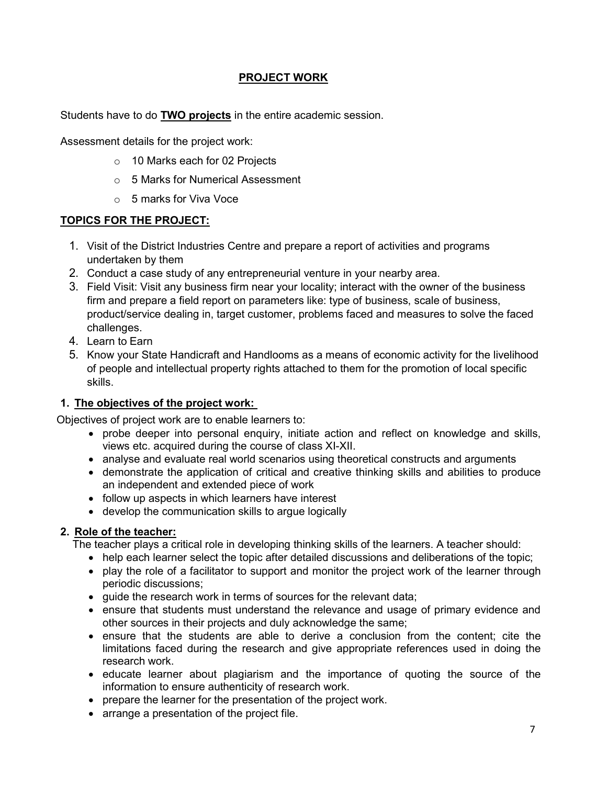#### PROJECT WORK

Students have to do TWO projects in the entire academic session.

Assessment details for the project work:

- o 10 Marks each for 02 Projects
- o 5 Marks for Numerical Assessment
- o 5 marks for Viva Voce

#### TOPICS FOR THE PROJECT:

- 1. Visit of the District Industries Centre and prepare a report of activities and programs undertaken by them
- 2. Conduct a case study of any entrepreneurial venture in your nearby area.
- 3. Field Visit: Visit any business firm near your locality; interact with the owner of the business firm and prepare a field report on parameters like: type of business, scale of business, product/service dealing in, target customer, problems faced and measures to solve the faced challenges.
- 4. Learn to Earn
- 5. Know your State Handicraft and Handlooms as a means of economic activity for the livelihood of people and intellectual property rights attached to them for the promotion of local specific skills.

#### 1. The objectives of the project work:

Objectives of project work are to enable learners to:

- probe deeper into personal enquiry, initiate action and reflect on knowledge and skills, views etc. acquired during the course of class XI-XII.
- analyse and evaluate real world scenarios using theoretical constructs and arguments
- demonstrate the application of critical and creative thinking skills and abilities to produce an independent and extended piece of work
- follow up aspects in which learners have interest
- develop the communication skills to argue logically

#### 2. Role of the teacher:

The teacher plays a critical role in developing thinking skills of the learners. A teacher should:

- help each learner select the topic after detailed discussions and deliberations of the topic;
- play the role of a facilitator to support and monitor the project work of the learner through periodic discussions;
- guide the research work in terms of sources for the relevant data;
- ensure that students must understand the relevance and usage of primary evidence and other sources in their projects and duly acknowledge the same;
- ensure that the students are able to derive a conclusion from the content; cite the limitations faced during the research and give appropriate references used in doing the research work.
- educate learner about plagiarism and the importance of quoting the source of the information to ensure authenticity of research work.
- prepare the learner for the presentation of the project work.
- arrange a presentation of the project file.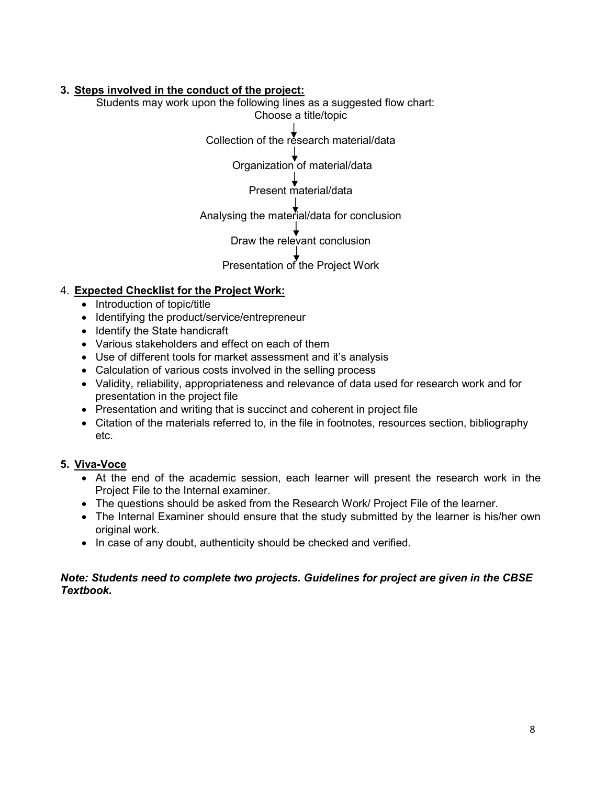#### 3. Steps involved in the conduct of the project:

Students may work upon the following lines as a suggested flow chart: Choose a title/topic

Collection of the research material/data

Organization of material/data

Present material/data

Analysing the material/data for conclusion

Draw the relevant conclusion

Presentation of the Project Work

#### 4. Expected Checklist for the Project Work:

- Introduction of topic/title
- Identifying the product/service/entrepreneur
- Identify the State handicraft
- Various stakeholders and effect on each of them
- Use of different tools for market assessment and it's analysis
- Calculation of various costs involved in the selling process
- Validity, reliability, appropriateness and relevance of data used for research work and for presentation in the project file
- Presentation and writing that is succinct and coherent in project file
- Citation of the materials referred to, in the file in footnotes, resources section, bibliography etc.

#### 5. Viva-Voce

- At the end of the academic session, each learner will present the research work in the Project File to the Internal examiner.
- The questions should be asked from the Research Work/ Project File of the learner.
- The Internal Examiner should ensure that the study submitted by the learner is his/her own original work.
- In case of any doubt, authenticity should be checked and verified.

#### Note: Students need to complete two projects. Guidelines for project are given in the CBSE Textbook.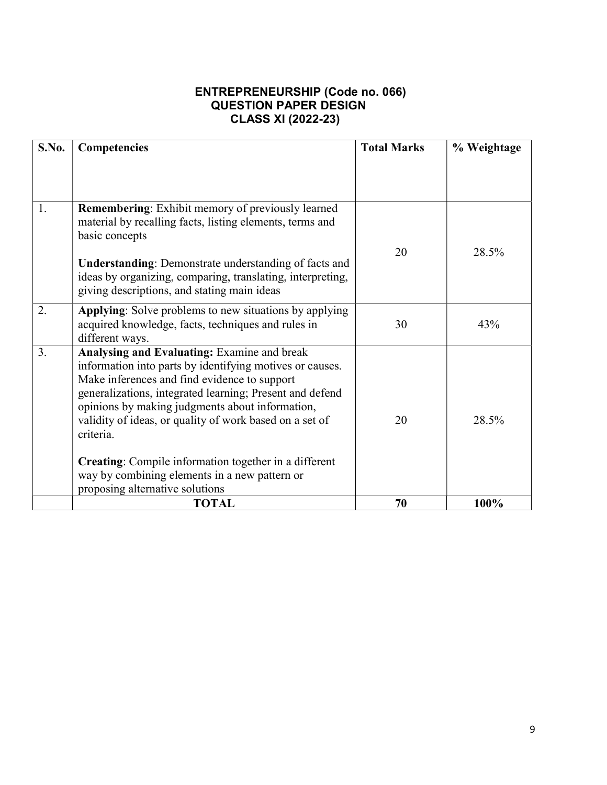## ENTREPRENEURSHIP (Code no. 066) QUESTION PAPER DESIGN CLASS XI (2022-23)

| S.No. | Competencies                                                                                                                                                                                                                                                                                                                                                                                                                                                           | <b>Total Marks</b> | % Weightage |
|-------|------------------------------------------------------------------------------------------------------------------------------------------------------------------------------------------------------------------------------------------------------------------------------------------------------------------------------------------------------------------------------------------------------------------------------------------------------------------------|--------------------|-------------|
|       |                                                                                                                                                                                                                                                                                                                                                                                                                                                                        |                    |             |
|       |                                                                                                                                                                                                                                                                                                                                                                                                                                                                        |                    |             |
| 1.    | <b>Remembering:</b> Exhibit memory of previously learned<br>material by recalling facts, listing elements, terms and<br>basic concepts                                                                                                                                                                                                                                                                                                                                 | 20                 | 28.5%       |
|       | <b>Understanding:</b> Demonstrate understanding of facts and<br>ideas by organizing, comparing, translating, interpreting,<br>giving descriptions, and stating main ideas                                                                                                                                                                                                                                                                                              |                    |             |
| 2.    | Applying: Solve problems to new situations by applying<br>acquired knowledge, facts, techniques and rules in<br>different ways.                                                                                                                                                                                                                                                                                                                                        | 30                 | 43%         |
| 3.    | <b>Analysing and Evaluating:</b> Examine and break<br>information into parts by identifying motives or causes.<br>Make inferences and find evidence to support<br>generalizations, integrated learning; Present and defend<br>opinions by making judgments about information,<br>validity of ideas, or quality of work based on a set of<br>criteria.<br><b>Creating:</b> Compile information together in a different<br>way by combining elements in a new pattern or | 20                 | 28.5%       |
|       | proposing alternative solutions                                                                                                                                                                                                                                                                                                                                                                                                                                        |                    |             |
|       | <b>TOTAL</b>                                                                                                                                                                                                                                                                                                                                                                                                                                                           | 70                 | 100%        |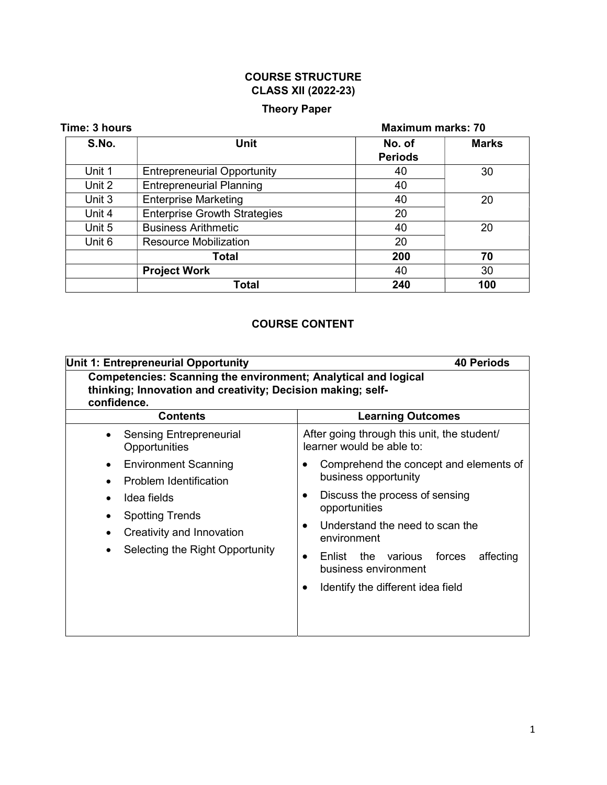# COURSE STRUCTURE CLASS XII (2022-23)

## Theory Paper

| Time: 3 hours |                                     | <b>Maximum marks: 70</b> |              |
|---------------|-------------------------------------|--------------------------|--------------|
| S.No.         | <b>Unit</b>                         | No. of<br><b>Periods</b> | <b>Marks</b> |
| Unit 1        | <b>Entrepreneurial Opportunity</b>  | 40                       | 30           |
| Unit 2        | <b>Entrepreneurial Planning</b>     | 40                       |              |
| Unit 3        | <b>Enterprise Marketing</b>         | 40                       | 20           |
| Unit 4        | <b>Enterprise Growth Strategies</b> | 20                       |              |
| Unit 5        | <b>Business Arithmetic</b>          | 40                       | 20           |
| Unit 6        | <b>Resource Mobilization</b>        | 20                       |              |
|               | <b>Total</b>                        | 200                      | 70           |
|               | <b>Project Work</b>                 | 40                       | 30           |
|               | Total                               | 240                      | 100          |

# COURSE CONTENT

| Unit 1: Entrepreneurial Opportunity<br><b>40 Periods</b>                                                                                                                         |                                                                                                                                                                                                                                                                                            |  |
|----------------------------------------------------------------------------------------------------------------------------------------------------------------------------------|--------------------------------------------------------------------------------------------------------------------------------------------------------------------------------------------------------------------------------------------------------------------------------------------|--|
| <b>Competencies: Scanning the environment; Analytical and logical</b><br>thinking; Innovation and creativity; Decision making; self-<br>confidence.                              |                                                                                                                                                                                                                                                                                            |  |
| <b>Contents</b>                                                                                                                                                                  | <b>Learning Outcomes</b>                                                                                                                                                                                                                                                                   |  |
| <b>Sensing Entrepreneurial</b><br>Opportunities                                                                                                                                  | After going through this unit, the student/<br>learner would be able to:                                                                                                                                                                                                                   |  |
| <b>Environment Scanning</b><br>$\bullet$<br>Problem Identification<br>Idea fields<br><b>Spotting Trends</b><br>Creativity and Innovation<br>٠<br>Selecting the Right Opportunity | Comprehend the concept and elements of<br>business opportunity<br>Discuss the process of sensing<br>opportunities<br>Understand the need to scan the<br>environment<br>affecting<br>Enlist the various<br>forces<br>$\bullet$<br>business environment<br>Identify the different idea field |  |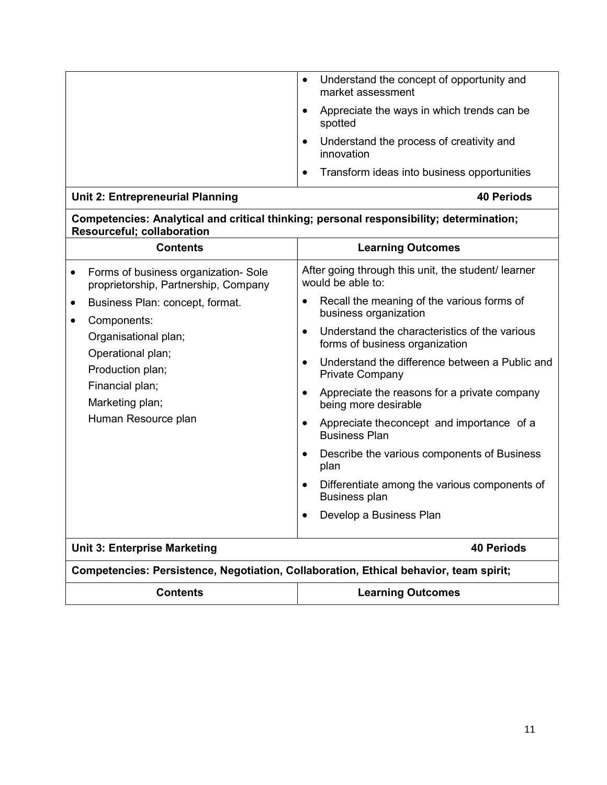| Understand the concept of opportunity and<br>$\bullet$<br>market assessment |
|-----------------------------------------------------------------------------|
| Appreciate the ways in which trends can be<br>spotted                       |
| Understand the process of creativity and<br>innovation                      |
| Transform ideas into business opportunities<br>$\bullet$                    |

# Unit 2: Entrepreneurial Planning and the contract of the 40 Periods of the 40 Periods

#### Competencies: Analytical and critical thinking; personal responsibility; determination; Resourceful; collaboration

| <b>Contents</b>                                                                                                                                                                                        | <b>Learning Outcomes</b>                                                                                                                                                                                                                                                                                                                                                                                                                                                                                                                                                                                                                    |  |  |
|--------------------------------------------------------------------------------------------------------------------------------------------------------------------------------------------------------|---------------------------------------------------------------------------------------------------------------------------------------------------------------------------------------------------------------------------------------------------------------------------------------------------------------------------------------------------------------------------------------------------------------------------------------------------------------------------------------------------------------------------------------------------------------------------------------------------------------------------------------------|--|--|
| Forms of business organization-Sole<br>$\bullet$<br>proprietorship, Partnership, Company                                                                                                               | After going through this unit, the student/ learner<br>would be able to:                                                                                                                                                                                                                                                                                                                                                                                                                                                                                                                                                                    |  |  |
| Business Plan: concept, format.<br>$\bullet$<br>Components:<br>$\bullet$<br>Organisational plan;<br>Operational plan;<br>Production plan;<br>Financial plan;<br>Marketing plan;<br>Human Resource plan | Recall the meaning of the various forms of<br>$\bullet$<br>business organization<br>Understand the characteristics of the various<br>$\bullet$<br>forms of business organization<br>Understand the difference between a Public and<br>$\bullet$<br><b>Private Company</b><br>Appreciate the reasons for a private company<br>$\bullet$<br>being more desirable<br>Appreciate the concept and importance of a<br>$\bullet$<br><b>Business Plan</b><br>Describe the various components of Business<br>٠<br>plan<br>Differentiate among the various components of<br>$\bullet$<br><b>Business plan</b><br>Develop a Business Plan<br>$\bullet$ |  |  |
| <b>Unit 3: Enterprise Marketing</b>                                                                                                                                                                    | 40 Periods                                                                                                                                                                                                                                                                                                                                                                                                                                                                                                                                                                                                                                  |  |  |
| Competencies: Persistence, Negotiation, Collaboration, Ethical behavior, team spirit;                                                                                                                  |                                                                                                                                                                                                                                                                                                                                                                                                                                                                                                                                                                                                                                             |  |  |
| <b>Contents</b>                                                                                                                                                                                        | <b>Learning Outcomes</b>                                                                                                                                                                                                                                                                                                                                                                                                                                                                                                                                                                                                                    |  |  |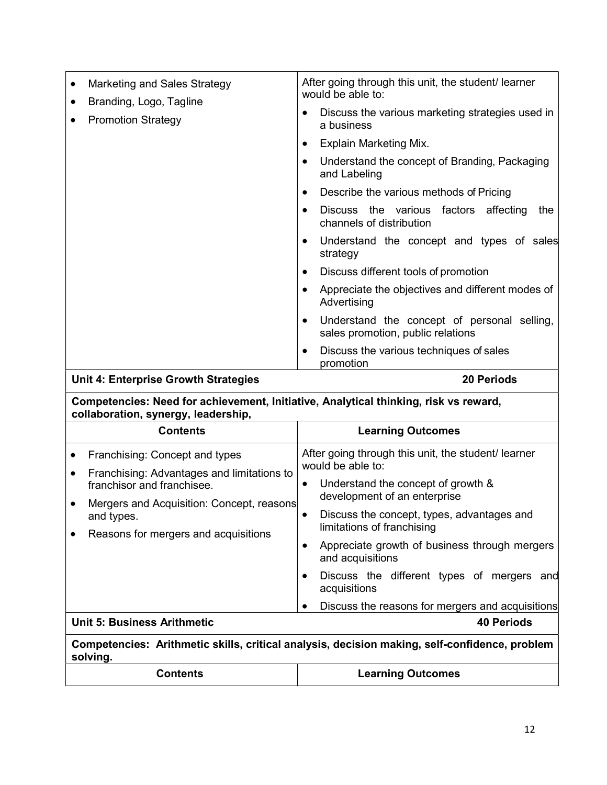| $\bullet$ | Marketing and Sales Strategy<br>Branding, Logo, Tagline | After going through this unit, the student/ learner<br>would be able to: |                                                                                  |
|-----------|---------------------------------------------------------|--------------------------------------------------------------------------|----------------------------------------------------------------------------------|
| $\bullet$ | <b>Promotion Strategy</b>                               |                                                                          | Discuss the various marketing strategies used in<br>a business                   |
|           |                                                         | $\bullet$                                                                | Explain Marketing Mix.                                                           |
|           |                                                         | $\bullet$                                                                | Understand the concept of Branding, Packaging<br>and Labeling                    |
|           |                                                         | $\bullet$                                                                | Describe the various methods of Pricing                                          |
|           |                                                         | $\bullet$                                                                | Discuss the various factors affecting<br>the<br>channels of distribution         |
|           |                                                         | $\bullet$                                                                | Understand the concept and types of sales<br>strategy                            |
|           |                                                         | $\bullet$                                                                | Discuss different tools of promotion                                             |
|           |                                                         | Appreciate the objectives and different modes of<br>Advertising          |                                                                                  |
|           |                                                         | $\bullet$                                                                | Understand the concept of personal selling,<br>sales promotion, public relations |
|           |                                                         | $\bullet$                                                                | Discuss the various techniques of sales<br>promotion                             |

# Unit 4: Enterprise Growth Strategies 20 Periods

Competencies: Need for achievement, Initiative, Analytical thinking, risk vs reward, collaboration, synergy, leadership,

|                                                                                               | Contents                                                                                                                                                | <b>Learning Outcomes</b>                                                                                                                                    |  |  |  |  |
|-----------------------------------------------------------------------------------------------|---------------------------------------------------------------------------------------------------------------------------------------------------------|-------------------------------------------------------------------------------------------------------------------------------------------------------------|--|--|--|--|
| $\bullet$                                                                                     | Franchising: Concept and types<br>Franchising: Advantages and limitations to<br>franchisor and franchisee.<br>Mergers and Acquisition: Concept, reasons | After going through this unit, the student/ learner<br>would be able to:<br>Understand the concept of growth &<br>$\bullet$<br>development of an enterprise |  |  |  |  |
|                                                                                               | and types.<br>Reasons for mergers and acquisitions                                                                                                      | Discuss the concept, types, advantages and<br>$\bullet$<br>limitations of franchising<br>Appreciate growth of business through mergers<br>and acquisitions  |  |  |  |  |
|                                                                                               |                                                                                                                                                         | Discuss the different types of mergers and<br>$\bullet$<br>acquisitions<br>Discuss the reasons for mergers and acquisitions<br>$\bullet$                    |  |  |  |  |
| <b>Unit 5: Business Arithmetic</b><br><b>40 Periods</b>                                       |                                                                                                                                                         |                                                                                                                                                             |  |  |  |  |
| Competencies: Arithmetic skills, critical analysis, decision making, self-confidence, problem |                                                                                                                                                         |                                                                                                                                                             |  |  |  |  |

Competencies: Arithmetic skills, critical analysis, decision making, self-confidence, problem solving.

| <b>Contents</b> | <b>Learning Outcomes</b> |
|-----------------|--------------------------|
|-----------------|--------------------------|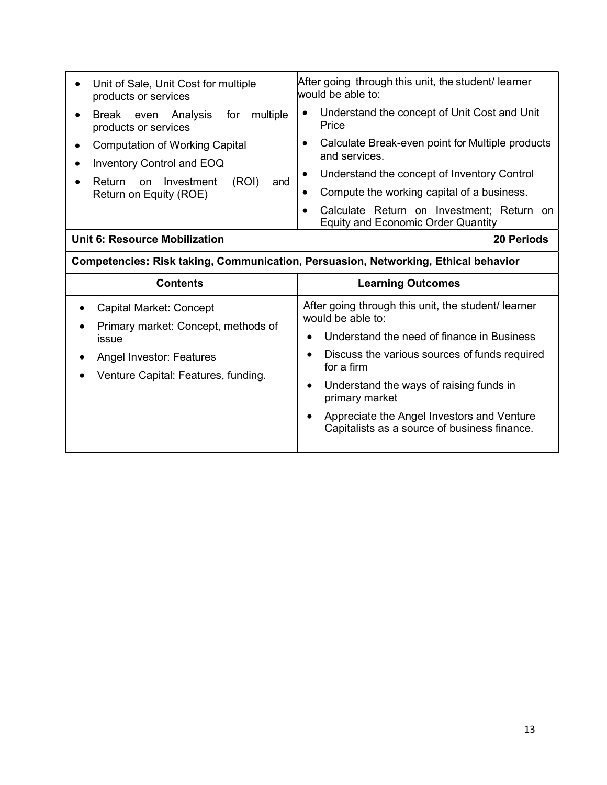| Unit of Sale, Unit Cost for multiple<br>products or services                           | After going through this unit, the student/ learner<br>would be able to:                            |  |  |  |  |  |
|----------------------------------------------------------------------------------------|-----------------------------------------------------------------------------------------------------|--|--|--|--|--|
| multiple<br>Break even Analysis<br>for<br>$\bullet$<br>products or services            | Understand the concept of Unit Cost and Unit<br>$\bullet$<br>Price                                  |  |  |  |  |  |
| <b>Computation of Working Capital</b><br><b>Inventory Control and EOQ</b><br>$\bullet$ | Calculate Break-even point for Multiple products<br>and services.                                   |  |  |  |  |  |
| (ROI)<br>Investment<br>Return<br>and<br>on<br>$\bullet$                                | Understand the concept of Inventory Control<br>$\bullet$                                            |  |  |  |  |  |
| Return on Equity (ROE)                                                                 | Compute the working capital of a business.<br>$\bullet$                                             |  |  |  |  |  |
|                                                                                        | Calculate Return on Investment; Return on<br>$\bullet$<br><b>Equity and Economic Order Quantity</b> |  |  |  |  |  |
| <b>Unit 6: Resource Mobilization</b>                                                   | <b>20 Periods</b>                                                                                   |  |  |  |  |  |
| Competencies: Risk taking, Communication, Persuasion, Networking, Ethical behavior     |                                                                                                     |  |  |  |  |  |
| <b>Contents</b>                                                                        | <b>Learning Outcomes</b>                                                                            |  |  |  |  |  |
|                                                                                        |                                                                                                     |  |  |  |  |  |
| Capital Market: Concept                                                                | After going through this unit, the student/ learner<br>would be able to:                            |  |  |  |  |  |
| Primary market: Concept, methods of<br>issue                                           | Understand the need of finance in Business                                                          |  |  |  |  |  |

Venture Capital: Features, funding.

 Understand the ways of raising funds in primary market

 Appreciate the Angel Investors and Venture Capitalists as a source of business finance.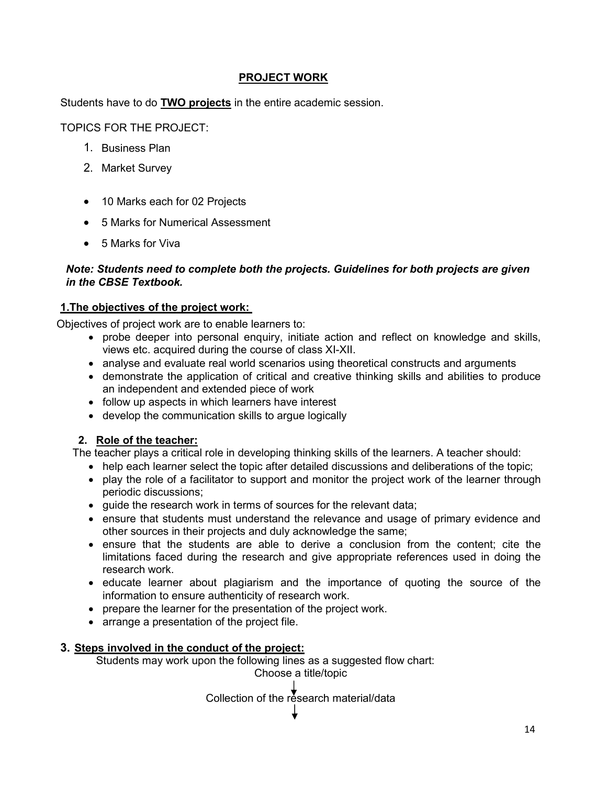#### PROJECT WORK

Students have to do **TWO projects** in the entire academic session.

TOPICS FOR THE PROJECT:

- 1. Business Plan
- 2. Market Survey
- 10 Marks each for 02 Projects
- 5 Marks for Numerical Assessment
- 5 Marks for Viva

#### Note: Students need to complete both the projects. Guidelines for both projects are given in the CBSE Textbook.

#### 1.The objectives of the project work:

Objectives of project work are to enable learners to:

- probe deeper into personal enquiry, initiate action and reflect on knowledge and skills, views etc. acquired during the course of class XI-XII.
- analyse and evaluate real world scenarios using theoretical constructs and arguments
- demonstrate the application of critical and creative thinking skills and abilities to produce an independent and extended piece of work
- follow up aspects in which learners have interest
- develop the communication skills to argue logically

#### 2. Role of the teacher:

The teacher plays a critical role in developing thinking skills of the learners. A teacher should:

- help each learner select the topic after detailed discussions and deliberations of the topic;
- play the role of a facilitator to support and monitor the project work of the learner through periodic discussions;
- guide the research work in terms of sources for the relevant data;
- ensure that students must understand the relevance and usage of primary evidence and other sources in their projects and duly acknowledge the same;
- ensure that the students are able to derive a conclusion from the content; cite the limitations faced during the research and give appropriate references used in doing the research work.
- educate learner about plagiarism and the importance of quoting the source of the information to ensure authenticity of research work.
- prepare the learner for the presentation of the project work.
- arrange a presentation of the project file.

#### 3. Steps involved in the conduct of the project:

Students may work upon the following lines as a suggested flow chart: Choose a title/topic

Collection of the research material/data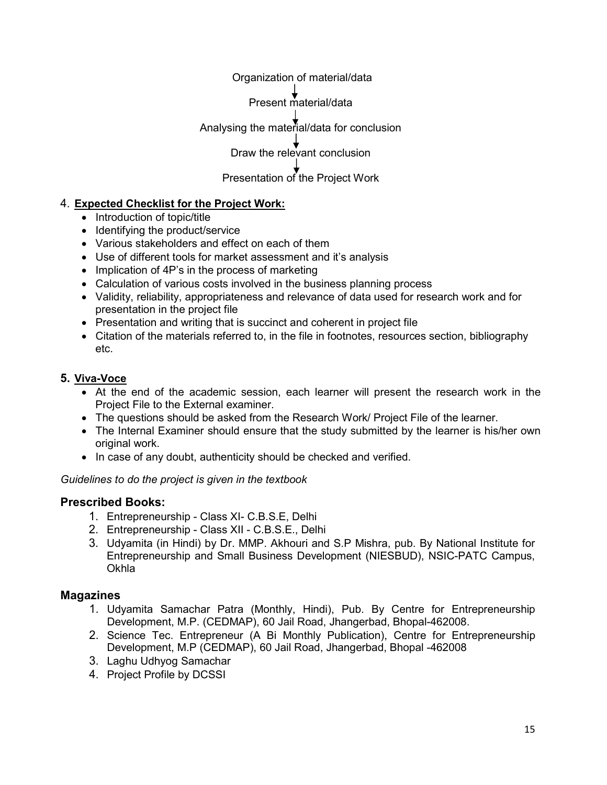Organization of material/data Present material/data Analysing the material/data for conclusion Draw the relevant conclusion Presentation of the Project Work

# 4. Expected Checklist for the Project Work:

- Introduction of topic/title
- Identifying the product/service
- Various stakeholders and effect on each of them
- Use of different tools for market assessment and it's analysis
- Implication of 4P's in the process of marketing
- Calculation of various costs involved in the business planning process
- Validity, reliability, appropriateness and relevance of data used for research work and for presentation in the project file
- Presentation and writing that is succinct and coherent in project file
- Citation of the materials referred to, in the file in footnotes, resources section, bibliography etc.

#### 5. Viva-Voce

- At the end of the academic session, each learner will present the research work in the Project File to the External examiner.
- The questions should be asked from the Research Work/ Project File of the learner.
- The Internal Examiner should ensure that the study submitted by the learner is his/her own original work.
- In case of any doubt, authenticity should be checked and verified.

Guidelines to do the project is given in the textbook

#### Prescribed Books:

- 1. Entrepreneurship Class XI- C.B.S.E, Delhi
- 2. Entrepreneurship Class XII C.B.S.E., Delhi
- 3. Udyamita (in Hindi) by Dr. MMP. Akhouri and S.P Mishra, pub. By National Institute for Entrepreneurship and Small Business Development (NIESBUD), NSIC-PATC Campus, **Okhla**

#### Magazines

- 1. Udyamita Samachar Patra (Monthly, Hindi), Pub. By Centre for Entrepreneurship Development, M.P. (CEDMAP), 60 Jail Road, Jhangerbad, Bhopal-462008.
- 2. Science Tec. Entrepreneur (A Bi Monthly Publication), Centre for Entrepreneurship Development, M.P (CEDMAP), 60 Jail Road, Jhangerbad, Bhopal -462008
- 3. Laghu Udhyog Samachar
- 4. Project Profile by DCSSI